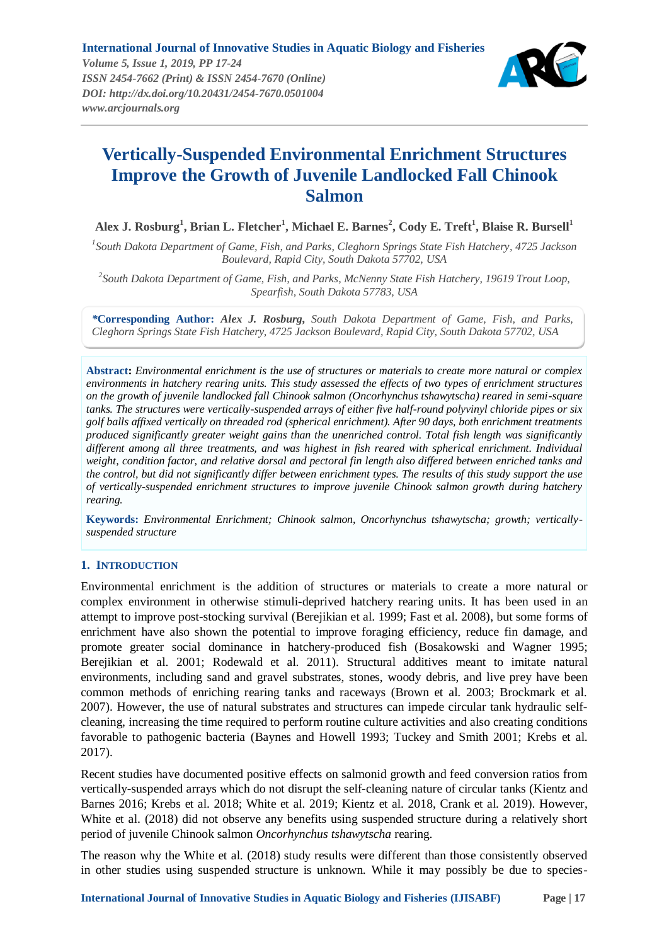

# **Vertically-Suspended Environmental Enrichment Structures Improve the Growth of Juvenile Landlocked Fall Chinook Salmon**

**Alex J. Rosburg<sup>1</sup> , Brian L. Fletcher<sup>1</sup> , Michael E. Barnes<sup>2</sup> , Cody E. Treft<sup>1</sup> , Blaise R. Bursell<sup>1</sup>**

*1 South Dakota Department of Game, Fish, and Parks, Cleghorn Springs State Fish Hatchery, 4725 Jackson Boulevard, Rapid City, South Dakota 57702, USA*

*2 South Dakota Department of Game, Fish, and Parks, McNenny State Fish Hatchery, 19619 Trout Loop, Spearfish, South Dakota 57783, USA*

*\****Corresponding Author:** *Alex J. Rosburg***,** *South Dakota Department of Game, Fish, and Parks, Cleghorn Springs State Fish Hatchery, 4725 Jackson Boulevard, Rapid City, South Dakota 57702, USA*

**Abstract:** *Environmental enrichment is the use of structures or materials to create more natural or complex environments in hatchery rearing units. This study assessed the effects of two types of enrichment structures on the growth of juvenile landlocked fall Chinook salmon (Oncorhynchus tshawytscha) reared in semi-square tanks. The structures were vertically-suspended arrays of either five half-round polyvinyl chloride pipes or six golf balls affixed vertically on threaded rod (spherical enrichment). After 90 days, both enrichment treatments produced significantly greater weight gains than the unenriched control. Total fish length was significantly different among all three treatments, and was highest in fish reared with spherical enrichment. Individual weight, condition factor, and relative dorsal and pectoral fin length also differed between enriched tanks and the control, but did not significantly differ between enrichment types. The results of this study support the use of vertically-suspended enrichment structures to improve juvenile Chinook salmon growth during hatchery rearing.*

**Keywords:** *Environmental Enrichment; Chinook salmon, Oncorhynchus tshawytscha; growth; verticallysuspended structure*

## **1. INTRODUCTION**

Environmental enrichment is the addition of structures or materials to create a more natural or complex environment in otherwise stimuli-deprived hatchery rearing units. It has been used in an attempt to improve post-stocking survival (Berejikian et al. 1999; Fast et al. 2008), but some forms of enrichment have also shown the potential to improve foraging efficiency, reduce fin damage, and promote greater social dominance in hatchery-produced fish (Bosakowski and Wagner 1995; Berejikian et al. 2001; Rodewald et al. 2011). Structural additives meant to imitate natural environments, including sand and gravel substrates, stones, woody debris, and live prey have been common methods of enriching rearing tanks and raceways (Brown et al. 2003; Brockmark et al. 2007). However, the use of natural substrates and structures can impede circular tank hydraulic selfcleaning, increasing the time required to perform routine culture activities and also creating conditions favorable to pathogenic bacteria (Baynes and Howell 1993; Tuckey and Smith 2001; Krebs et al. 2017).

Recent studies have documented positive effects on salmonid growth and feed conversion ratios from vertically-suspended arrays which do not disrupt the self-cleaning nature of circular tanks (Kientz and Barnes 2016; Krebs et al. 2018; White et al. 2019; Kientz et al. 2018, Crank et al. 2019). However, White et al. (2018) did not observe any benefits using suspended structure during a relatively short period of juvenile Chinook salmon *Oncorhynchus tshawytscha* rearing.

The reason why the White et al. (2018) study results were different than those consistently observed in other studies using suspended structure is unknown. While it may possibly be due to species-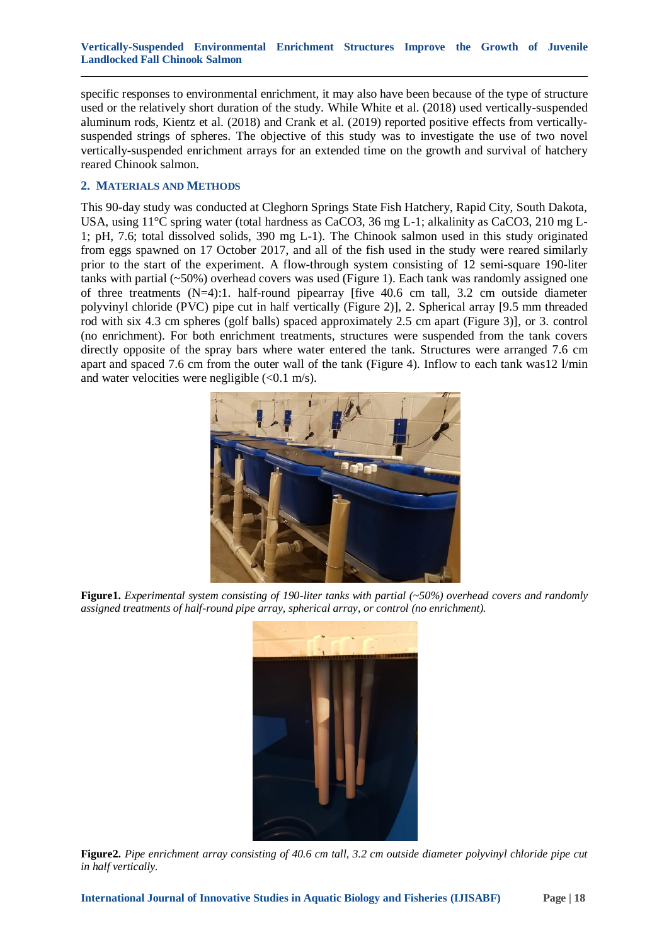#### **Vertically-Suspended Environmental Enrichment Structures Improve the Growth of Juvenile Landlocked Fall Chinook Salmon**

specific responses to environmental enrichment, it may also have been because of the type of structure used or the relatively short duration of the study. While White et al. (2018) used vertically-suspended aluminum rods, Kientz et al. (2018) and Crank et al. (2019) reported positive effects from verticallysuspended strings of spheres. The objective of this study was to investigate the use of two novel vertically-suspended enrichment arrays for an extended time on the growth and survival of hatchery reared Chinook salmon.

## **2. MATERIALS AND METHODS**

This 90-day study was conducted at Cleghorn Springs State Fish Hatchery, Rapid City, South Dakota, USA, using 11°C spring water (total hardness as CaCO3, 36 mg L-1; alkalinity as CaCO3, 210 mg L-1; pH, 7.6; total dissolved solids, 390 mg L-1). The Chinook salmon used in this study originated from eggs spawned on 17 October 2017, and all of the fish used in the study were reared similarly prior to the start of the experiment. A flow-through system consisting of 12 semi-square 190-liter tanks with partial (~50%) overhead covers was used (Figure 1). Each tank was randomly assigned one of three treatments  $(N=4)$ :1. half-round pipearray [five 40.6 cm tall, 3.2 cm outside diameter polyvinyl chloride (PVC) pipe cut in half vertically (Figure 2)], 2. Spherical array [9.5 mm threaded rod with six 4.3 cm spheres (golf balls) spaced approximately 2.5 cm apart (Figure 3)], or 3. control (no enrichment). For both enrichment treatments, structures were suspended from the tank covers directly opposite of the spray bars where water entered the tank. Structures were arranged 7.6 cm apart and spaced 7.6 cm from the outer wall of the tank (Figure 4). Inflow to each tank was12 l/min and water velocities were negligible  $( $0.1 \text{ m/s}$ ).$ 



**Figure1.** *Experimental system consisting of 190-liter tanks with partial (~50%) overhead covers and randomly assigned treatments of half-round pipe array, spherical array, or control (no enrichment).*



**Figure2.** *Pipe enrichment array consisting of 40.6 cm tall, 3.2 cm outside diameter polyvinyl chloride pipe cut in half vertically.*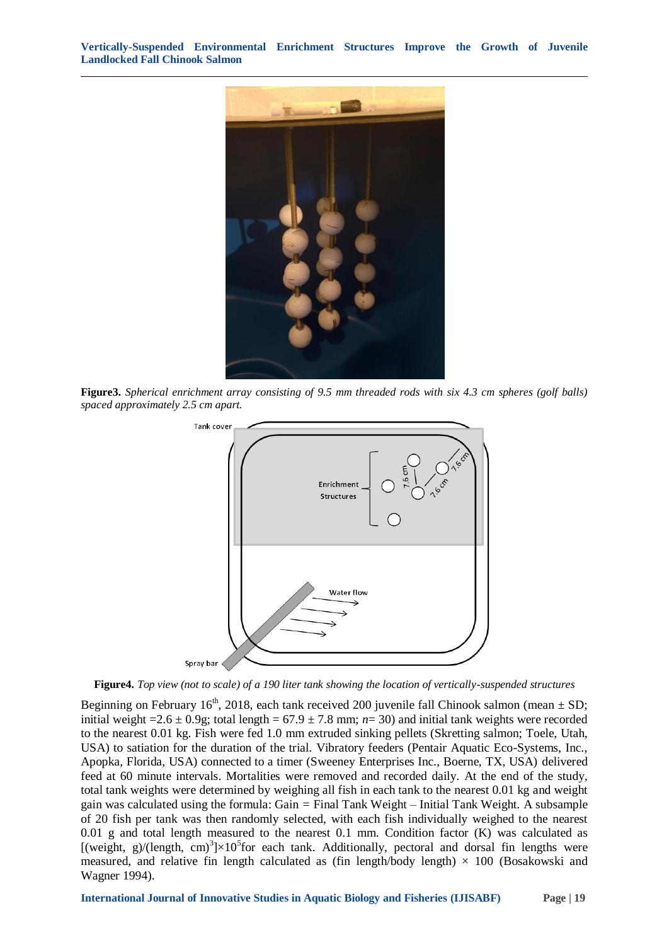**Vertically-Suspended Environmental Enrichment Structures Improve the Growth of Juvenile Landlocked Fall Chinook Salmon**



**Figure3.** *Spherical enrichment array consisting of 9.5 mm threaded rods with six 4.3 cm spheres (golf balls) spaced approximately 2.5 cm apart.*



**Figure4.** *Top view (not to scale) of a 190 liter tank showing the location of vertically-suspended structures*

Beginning on February 16<sup>th</sup>, 2018, each tank received 200 juvenile fall Chinook salmon (mean  $\pm$  SD; initial weight =  $2.6 \pm 0.9$ g; total length =  $67.9 \pm 7.8$  mm; *n*= 30) and initial tank weights were recorded to the nearest 0.01 kg. Fish were fed 1.0 mm extruded sinking pellets (Skretting salmon; Toele, Utah, USA) to satiation for the duration of the trial. Vibratory feeders (Pentair Aquatic Eco-Systems, Inc., Apopka, Florida, USA) connected to a timer (Sweeney Enterprises Inc., Boerne, TX, USA) delivered feed at 60 minute intervals. Mortalities were removed and recorded daily. At the end of the study, total tank weights were determined by weighing all fish in each tank to the nearest 0.01 kg and weight gain was calculated using the formula: Gain *=* Final Tank Weight – Initial Tank Weight. A subsample of 20 fish per tank was then randomly selected, with each fish individually weighed to the nearest 0.01 g and total length measured to the nearest 0.1 mm. Condition factor (K) was calculated as [(weight, g)/(length, cm)<sup>3</sup>] $\times$ 10<sup>5</sup>for each tank. Additionally, pectoral and dorsal fin lengths were measured, and relative fin length calculated as (fin length/body length)  $\times$  100 (Bosakowski and Wagner 1994).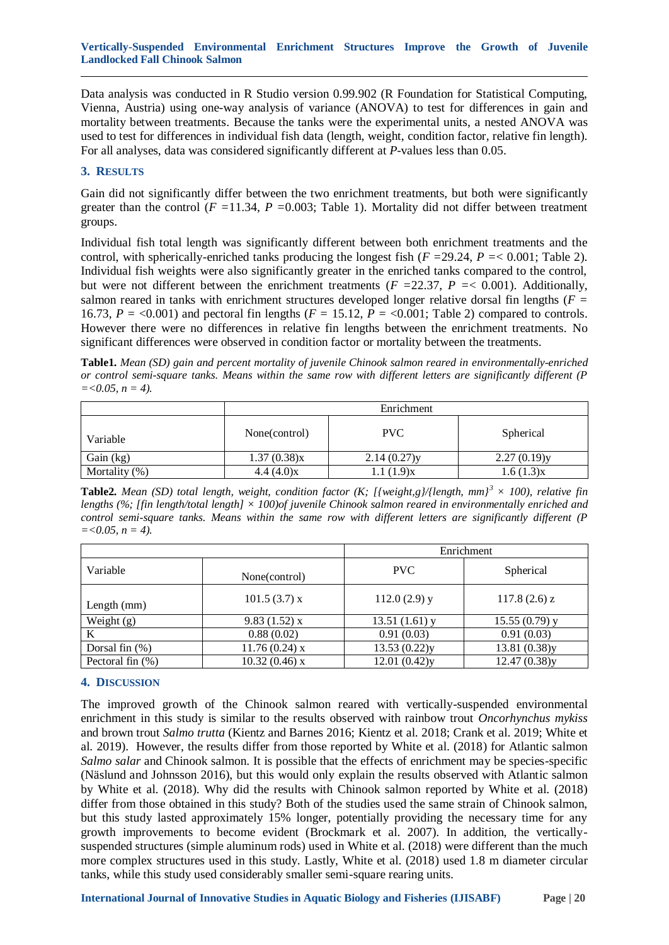Data analysis was conducted in R Studio version 0.99.902 (R Foundation for Statistical Computing, Vienna, Austria) using one-way analysis of variance (ANOVA) to test for differences in gain and mortality between treatments. Because the tanks were the experimental units, a nested ANOVA was used to test for differences in individual fish data (length, weight, condition factor, relative fin length). For all analyses, data was considered significantly different at *P-*values less than 0.05.

### **3. RESULTS**

Gain did not significantly differ between the two enrichment treatments, but both were significantly greater than the control ( $F = 11.34$ ,  $P = 0.003$ ; Table 1). Mortality did not differ between treatment groups.

Individual fish total length was significantly different between both enrichment treatments and the control, with spherically-enriched tanks producing the longest fish (*F =*29.24, *P =*< 0.001; Table 2). Individual fish weights were also significantly greater in the enriched tanks compared to the control, but were not different between the enrichment treatments (*F =*22.37, *P =*< 0.001). Additionally, salmon reared in tanks with enrichment structures developed longer relative dorsal fin lengths (*F =*  16.73,  $P = \langle 0.001 \rangle$  and pectoral fin lengths ( $F = 15.12$ ,  $\overline{P} = \langle 0.001 \rangle$ ; Table 2) compared to controls. However there were no differences in relative fin lengths between the enrichment treatments. No significant differences were observed in condition factor or mortality between the treatments.

**Table1.** *Mean (SD) gain and percent mortality of juvenile Chinook salmon reared in environmentally-enriched or control semi-square tanks. Means within the same row with different letters are significantly different (P*   $=$  < 0.05,  $n = 4$ ).

|                  | Enrichment    |             |             |  |
|------------------|---------------|-------------|-------------|--|
| Variable         | None(control) | PVC.        | Spherical   |  |
| Gain (kg)        | 1.37(0.38)x   | 2.14(0.27)y | 2.27(0.19)y |  |
| Mortality $(\%)$ | 4.4(4.0)x     | 1.1(1.9)x   | 1.6(1.3)x   |  |

**Table2.** *Mean (SD) total length, weight, condition factor (K; [{weight,g}/{length, mm}<sup>3</sup>*  $\times$  *100), relative fin lengths (%; [fin length/total length] × 100)of juvenile Chinook salmon reared in environmentally enriched and control semi-square tanks. Means within the same row with different letters are significantly different (P*   $=<0.05, n=4$ ).

|                     |                 | Enrichment      |                 |
|---------------------|-----------------|-----------------|-----------------|
| Variable            | None(control)   | PVC             | Spherical       |
| Length (mm)         | $101.5(3.7)$ x  | $112.0(2.9)$ y  | $117.8(2.6)$ z  |
| Weight $(g)$        | 9.83(1.52)x     | $13.51(1.61)$ y | $15.55(0.79)$ y |
| K                   | 0.88(0.02)      | 0.91(0.03)      | 0.91(0.03)      |
| Dorsal fin $(\%)$   | $11.76(0.24)$ x | 13.53(0.22)y    | 13.81(0.38)y    |
| Pectoral fin $(\%)$ | $10.32(0.46)$ x | 12.01(0.42)y    | 12.47(0.38)y    |

## **4. DISCUSSION**

The improved growth of the Chinook salmon reared with vertically-suspended environmental enrichment in this study is similar to the results observed with rainbow trout *Oncorhynchus mykiss* and brown trout *Salmo trutta* (Kientz and Barnes 2016; Kientz et al. 2018; Crank et al. 2019; White et al. 2019). However, the results differ from those reported by White et al. (2018) for Atlantic salmon *Salmo salar* and Chinook salmon. It is possible that the effects of enrichment may be species-specific (Näslund and Johnsson 2016), but this would only explain the results observed with Atlantic salmon by White et al. (2018). Why did the results with Chinook salmon reported by White et al. (2018) differ from those obtained in this study? Both of the studies used the same strain of Chinook salmon, but this study lasted approximately 15% longer, potentially providing the necessary time for any growth improvements to become evident (Brockmark et al. 2007). In addition, the verticallysuspended structures (simple aluminum rods) used in White et al. (2018) were different than the much more complex structures used in this study. Lastly, White et al. (2018) used 1.8 m diameter circular tanks, while this study used considerably smaller semi-square rearing units.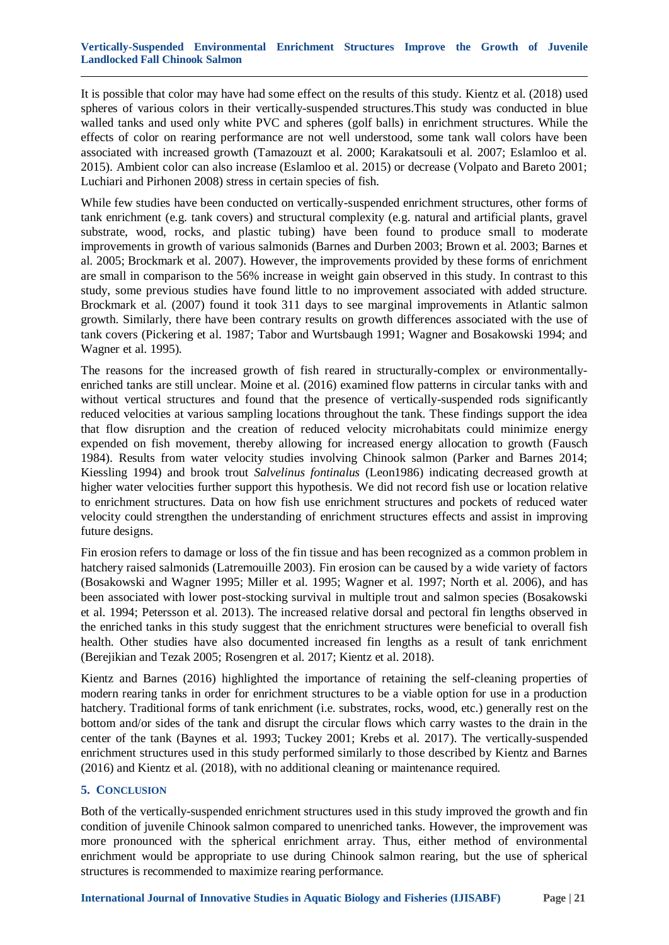#### **Vertically-Suspended Environmental Enrichment Structures Improve the Growth of Juvenile Landlocked Fall Chinook Salmon**

It is possible that color may have had some effect on the results of this study. Kientz et al. (2018) used spheres of various colors in their vertically-suspended structures.This study was conducted in blue walled tanks and used only white PVC and spheres (golf balls) in enrichment structures. While the effects of color on rearing performance are not well understood, some tank wall colors have been associated with increased growth (Tamazouzt et al. 2000; Karakatsouli et al. 2007; Eslamloo et al. 2015). Ambient color can also increase (Eslamloo et al. 2015) or decrease (Volpato and Bareto 2001; Luchiari and Pirhonen 2008) stress in certain species of fish.

While few studies have been conducted on vertically-suspended enrichment structures, other forms of tank enrichment (e.g. tank covers) and structural complexity (e.g. natural and artificial plants, gravel substrate, wood, rocks, and plastic tubing) have been found to produce small to moderate improvements in growth of various salmonids (Barnes and Durben 2003; Brown et al. 2003; Barnes et al. 2005; Brockmark et al. 2007). However, the improvements provided by these forms of enrichment are small in comparison to the 56% increase in weight gain observed in this study. In contrast to this study, some previous studies have found little to no improvement associated with added structure. Brockmark et al. (2007) found it took 311 days to see marginal improvements in Atlantic salmon growth. Similarly, there have been contrary results on growth differences associated with the use of tank covers (Pickering et al. 1987; Tabor and Wurtsbaugh 1991; Wagner and Bosakowski 1994; and Wagner et al. 1995).

The reasons for the increased growth of fish reared in structurally-complex or environmentallyenriched tanks are still unclear. Moine et al. (2016) examined flow patterns in circular tanks with and without vertical structures and found that the presence of vertically-suspended rods significantly reduced velocities at various sampling locations throughout the tank. These findings support the idea that flow disruption and the creation of reduced velocity microhabitats could minimize energy expended on fish movement, thereby allowing for increased energy allocation to growth (Fausch 1984). Results from water velocity studies involving Chinook salmon (Parker and Barnes 2014; Kiessling 1994) and brook trout *Salvelinus fontinalus* (Leon1986) indicating decreased growth at higher water velocities further support this hypothesis. We did not record fish use or location relative to enrichment structures. Data on how fish use enrichment structures and pockets of reduced water velocity could strengthen the understanding of enrichment structures effects and assist in improving future designs.

Fin erosion refers to damage or loss of the fin tissue and has been recognized as a common problem in hatchery raised salmonids (Latremouille 2003). Fin erosion can be caused by a wide variety of factors (Bosakowski and Wagner 1995; Miller et al. 1995; Wagner et al. 1997; North et al. 2006), and has been associated with lower post-stocking survival in multiple trout and salmon species (Bosakowski et al. 1994; Petersson et al. 2013). The increased relative dorsal and pectoral fin lengths observed in the enriched tanks in this study suggest that the enrichment structures were beneficial to overall fish health. Other studies have also documented increased fin lengths as a result of tank enrichment (Berejikian and Tezak 2005; Rosengren et al. 2017; Kientz et al. 2018).

Kientz and Barnes (2016) highlighted the importance of retaining the self-cleaning properties of modern rearing tanks in order for enrichment structures to be a viable option for use in a production hatchery. Traditional forms of tank enrichment (i.e. substrates, rocks, wood, etc.) generally rest on the bottom and/or sides of the tank and disrupt the circular flows which carry wastes to the drain in the center of the tank (Baynes et al. 1993; Tuckey 2001; Krebs et al. 2017). The vertically-suspended enrichment structures used in this study performed similarly to those described by Kientz and Barnes (2016) and Kientz et al. (2018), with no additional cleaning or maintenance required.

## **5. CONCLUSION**

Both of the vertically-suspended enrichment structures used in this study improved the growth and fin condition of juvenile Chinook salmon compared to unenriched tanks. However, the improvement was more pronounced with the spherical enrichment array. Thus, either method of environmental enrichment would be appropriate to use during Chinook salmon rearing, but the use of spherical structures is recommended to maximize rearing performance.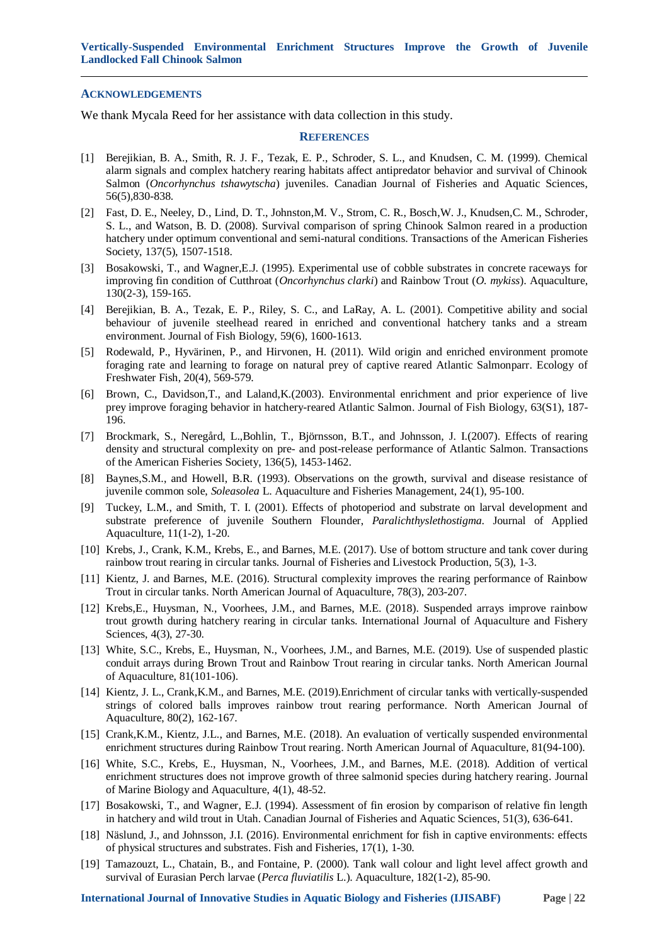#### **ACKNOWLEDGEMENTS**

We thank Mycala Reed for her assistance with data collection in this study.

#### **REFERENCES**

- [1] Berejikian, B. A., Smith, R. J. F., Tezak, E. P., Schroder, S. L., and Knudsen, C. M. (1999). Chemical alarm signals and complex hatchery rearing habitats affect antipredator behavior and survival of Chinook Salmon (*Oncorhynchus tshawytscha*) juveniles. Canadian Journal of Fisheries and Aquatic Sciences, 56(5),830-838.
- [2] Fast, D. E., Neeley, D., Lind, D. T., Johnston,M. V., Strom, C. R., Bosch,W. J., Knudsen,C. M., Schroder, S. L., and Watson, B. D. (2008). Survival comparison of spring Chinook Salmon reared in a production hatchery under optimum conventional and semi-natural conditions. Transactions of the American Fisheries Society, 137(5), 1507-1518.
- [3] Bosakowski, T., and Wagner,E.J. (1995). Experimental use of cobble substrates in concrete raceways for improving fin condition of Cutthroat (*Oncorhynchus clarki*) and Rainbow Trout (*O. mykiss*). Aquaculture, 130(2-3), 159-165.
- [4] Berejikian, B. A., Tezak, E. P., Riley, S. C., and LaRay, A. L. (2001). Competitive ability and social behaviour of juvenile steelhead reared in enriched and conventional hatchery tanks and a stream environment. Journal of Fish Biology, 59(6), 1600-1613.
- [5] Rodewald, P., Hyvärinen, P., and Hirvonen, H. (2011). Wild origin and enriched environment promote foraging rate and learning to forage on natural prey of captive reared Atlantic Salmonparr. Ecology of Freshwater Fish, 20(4), 569-579.
- [6] Brown, C., Davidson,T., and Laland,K.(2003). Environmental enrichment and prior experience of live prey improve foraging behavior in hatchery-reared Atlantic Salmon. Journal of Fish Biology, 63(S1), 187- 196.
- [7] Brockmark, S., Neregård, L.,Bohlin, T., Björnsson, B.T., and Johnsson, J. I.(2007). Effects of rearing density and structural complexity on pre- and post-release performance of Atlantic Salmon. Transactions of the American Fisheries Society, 136(5), 1453-1462.
- [8] Baynes,S.M., and Howell, B.R. (1993). Observations on the growth, survival and disease resistance of juvenile common sole, *Soleasolea* L. Aquaculture and Fisheries Management, 24(1), 95-100.
- [9] Tuckey, L.M., and Smith, T. I. (2001). Effects of photoperiod and substrate on larval development and substrate preference of juvenile Southern Flounder, *Paralichthyslethostigma*. Journal of Applied Aquaculture, 11(1-2), 1-20.
- [10] Krebs, J., Crank, K.M., Krebs, E., and Barnes, M.E. (2017). Use of bottom structure and tank cover during rainbow trout rearing in circular tanks. Journal of Fisheries and Livestock Production, 5(3), 1-3.
- [11] Kientz, J. and Barnes, M.E. (2016). Structural complexity improves the rearing performance of Rainbow Trout in circular tanks. North American Journal of Aquaculture, 78(3), 203-207.
- [12] Krebs,E., Huysman, N., Voorhees, J.M., and Barnes, M.E. (2018). Suspended arrays improve rainbow trout growth during hatchery rearing in circular tanks. International Journal of Aquaculture and Fishery Sciences, 4(3), 27-30.
- [13] White, S.C., Krebs, E., Huysman, N., Voorhees, J.M., and Barnes, M.E. (2019). Use of suspended plastic conduit arrays during Brown Trout and Rainbow Trout rearing in circular tanks. North American Journal of Aquaculture, 81(101-106).
- [14] Kientz, J. L., Crank,K.M., and Barnes, M.E. (2019).Enrichment of circular tanks with vertically-suspended strings of colored balls improves rainbow trout rearing performance. North American Journal of Aquaculture, 80(2), 162-167.
- [15] Crank,K.M., Kientz, J.L., and Barnes, M.E. (2018). An evaluation of vertically suspended environmental enrichment structures during Rainbow Trout rearing. North American Journal of Aquaculture, 81(94-100).
- [16] White, S.C., Krebs, E., Huysman, N., Voorhees, J.M., and Barnes, M.E. (2018). Addition of vertical enrichment structures does not improve growth of three salmonid species during hatchery rearing. Journal of Marine Biology and Aquaculture, 4(1), 48-52.
- [17] Bosakowski, T., and Wagner, E.J. (1994). Assessment of fin erosion by comparison of relative fin length in hatchery and wild trout in Utah. Canadian Journal of Fisheries and Aquatic Sciences, 51(3), 636-641.
- [18] Näslund, J., and Johnsson, J.I. (2016). Environmental enrichment for fish in captive environments: effects of physical structures and substrates. Fish and Fisheries, 17(1), 1-30.
- [19] Tamazouzt, L., Chatain, B., and Fontaine, P. (2000). Tank wall colour and light level affect growth and survival of Eurasian Perch larvae (*Perca fluviatilis* L.). Aquaculture, 182(1-2), 85-90.

**International Journal of Innovative Studies in Aquatic Biology and Fisheries (IJISABF) Page | 22**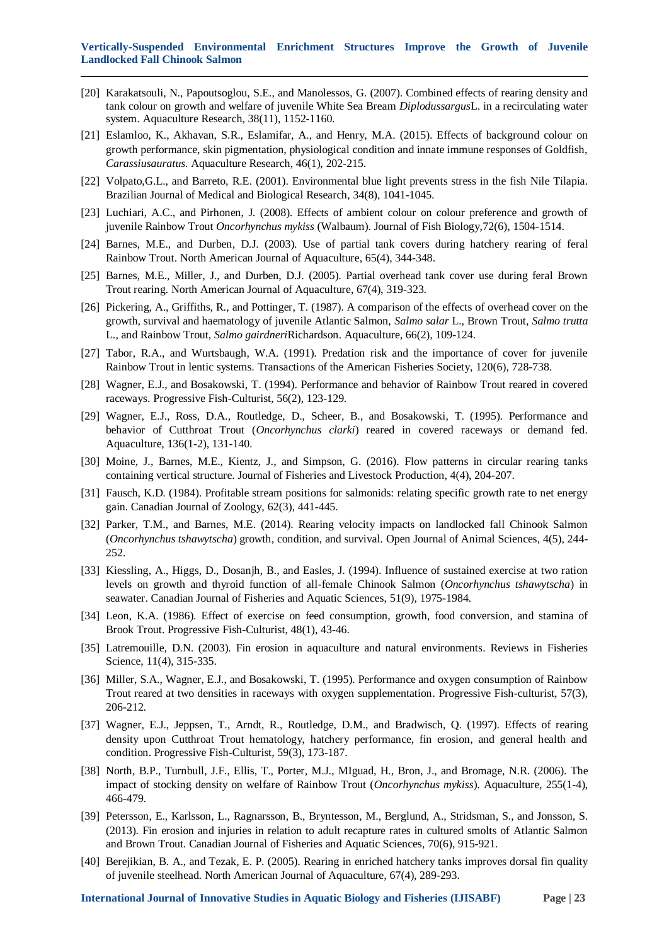- [20] Karakatsouli, N., Papoutsoglou, S.E., and Manolessos, G. (2007). Combined effects of rearing density and tank colour on growth and welfare of juvenile White Sea Bream *Diplodussargus*L. in a recirculating water system. Aquaculture Research, 38(11), 1152-1160.
- [21] Eslamloo, K., Akhavan, S.R., Eslamifar, A., and Henry, M.A. (2015). Effects of background colour on growth performance, skin pigmentation, physiological condition and innate immune responses of Goldfish, *Carassiusauratus*. Aquaculture Research, 46(1), 202-215.
- [22] Volpato,G.L., and Barreto, R.E. (2001). Environmental blue light prevents stress in the fish Nile Tilapia. Brazilian Journal of Medical and Biological Research, 34(8), 1041-1045.
- [23] Luchiari, A.C., and Pirhonen, J. (2008). Effects of ambient colour on colour preference and growth of juvenile Rainbow Trout *Oncorhynchus mykiss* (Walbaum). Journal of Fish Biology,72(6), 1504-1514.
- [24] Barnes, M.E., and Durben, D.J. (2003). Use of partial tank covers during hatchery rearing of feral Rainbow Trout. North American Journal of Aquaculture, 65(4), 344-348.
- [25] Barnes, M.E., Miller, J., and Durben, D.J. (2005). Partial overhead tank cover use during feral Brown Trout rearing. North American Journal of Aquaculture, 67(4), 319-323.
- [26] Pickering, A., Griffiths, R., and Pottinger, T. (1987). A comparison of the effects of overhead cover on the growth, survival and haematology of juvenile Atlantic Salmon, *Salmo salar* L., Brown Trout, *Salmo trutta* L., and Rainbow Trout, *Salmo gairdneri*Richardson. Aquaculture, 66(2), 109-124.
- [27] Tabor, R.A., and Wurtsbaugh, W.A. (1991). Predation risk and the importance of cover for juvenile Rainbow Trout in lentic systems. Transactions of the American Fisheries Society, 120(6), 728-738.
- [28] Wagner, E.J., and Bosakowski, T. (1994). Performance and behavior of Rainbow Trout reared in covered raceways. Progressive Fish-Culturist, 56(2), 123-129.
- [29] Wagner, E.J., Ross, D.A., Routledge, D., Scheer, B., and Bosakowski, T. (1995). Performance and behavior of Cutthroat Trout (*Oncorhynchus clarki*) reared in covered raceways or demand fed. Aquaculture, 136(1-2), 131-140.
- [30] Moine, J., Barnes, M.E., Kientz, J., and Simpson, G. (2016). Flow patterns in circular rearing tanks containing vertical structure. Journal of Fisheries and Livestock Production, 4(4), 204-207.
- [31] Fausch, K.D. (1984). Profitable stream positions for salmonids: relating specific growth rate to net energy gain. Canadian Journal of Zoology, 62(3), 441-445.
- [32] Parker, T.M., and Barnes, M.E. (2014). Rearing velocity impacts on landlocked fall Chinook Salmon (*Oncorhynchus tshawytscha*) growth, condition, and survival. Open Journal of Animal Sciences, 4(5), 244- 252.
- [33] Kiessling, A., Higgs, D., Dosanjh, B., and Easles, J. (1994). Influence of sustained exercise at two ration levels on growth and thyroid function of all-female Chinook Salmon (*Oncorhynchus tshawytscha*) in seawater. Canadian Journal of Fisheries and Aquatic Sciences, 51(9), 1975-1984.
- [34] Leon, K.A. (1986). Effect of exercise on feed consumption, growth, food conversion, and stamina of Brook Trout. Progressive Fish-Culturist, 48(1), 43-46.
- [35] Latremouille, D.N. (2003). Fin erosion in aquaculture and natural environments. Reviews in Fisheries Science, 11(4), 315-335.
- [36] Miller, S.A., Wagner, E.J., and Bosakowski, T. (1995). Performance and oxygen consumption of Rainbow Trout reared at two densities in raceways with oxygen supplementation. Progressive Fish-culturist, 57(3), 206-212.
- [37] Wagner, E.J., Jeppsen, T., Arndt, R., Routledge, D.M., and Bradwisch, Q. (1997). Effects of rearing density upon Cutthroat Trout hematology, hatchery performance, fin erosion, and general health and condition. Progressive Fish-Culturist, 59(3), 173-187.
- [38] North, B.P., Turnbull, J.F., Ellis, T., Porter, M.J., MIguad, H., Bron, J., and Bromage, N.R. (2006). The impact of stocking density on welfare of Rainbow Trout (*Oncorhynchus mykiss*). Aquaculture, 255(1-4), 466-479.
- [39] Petersson, E., Karlsson, L., Ragnarsson, B., Bryntesson, M., Berglund, A., Stridsman, S., and Jonsson, S. (2013). Fin erosion and injuries in relation to adult recapture rates in cultured smolts of Atlantic Salmon and Brown Trout. Canadian Journal of Fisheries and Aquatic Sciences, 70(6), 915-921.
- [40] Berejikian, B. A., and Tezak, E. P. (2005). Rearing in enriched hatchery tanks improves dorsal fin quality of juvenile steelhead. North American Journal of Aquaculture, 67(4), 289-293.